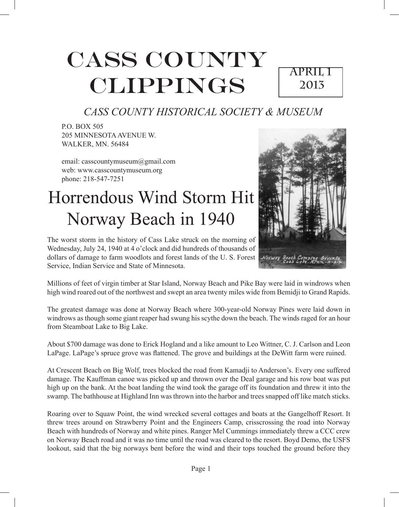# CASS COUNTY CLIPPINGS

## **April 1 2013**

## *CASS COUNTY HISTORICAL SOCIETY & MUSEUM*

P.O. BOX 505 205 MINNESOTA AVENUE W. WALKER, MN. 56484

email: casscountymuseum@gmail.com web: www.casscountymuseum.org phone: 218-547-7251

## Horrendous Wind Storm Hit Norway Beach in 1940



The worst storm in the history of Cass Lake struck on the morning of Wednesday, July 24, 1940 at 4 o'clock and did hundreds of thousands of dollars of damage to farm woodlots and forest lands of the U. S. Forest Service, Indian Service and State of Minnesota.

Millions of feet of virgin timber at Star Island, Norway Beach and Pike Bay were laid in windrows when high wind roared out of the northwest and swept an area twenty miles wide from Bemidji to Grand Rapids.

The greatest damage was done at Norway Beach where 300-year-old Norway Pines were laid down in windrows as though some giant reaper had swung his scythe down the beach. The winds raged for an hour from Steamboat Lake to Big Lake.

About \$700 damage was done to Erick Hogland and a like amount to Leo Wittner, C. J. Carlson and Leon LaPage. LaPage's spruce grove was flattened. The grove and buildings at the DeWitt farm were ruined.

At Crescent Beach on Big Wolf, trees blocked the road from Kamadji to Anderson's. Every one suffered damage. The Kauffman canoe was picked up and thrown over the Deal garage and his row boat was put high up on the bank. At the boat landing the wind took the garage off its foundation and threw it into the swamp. The bathhouse at Highland Inn was thrown into the harbor and trees snapped off like match sticks.

Roaring over to Squaw Point, the wind wrecked several cottages and boats at the Gangelhoff Resort. It threw trees around on Strawberry Point and the Engineers Camp, crisscrossing the road into Norway Beach with hundreds of Norway and white pines. Ranger Mel Cummings immediately threw a CCC crew on Norway Beach road and it was no time until the road was cleared to the resort. Boyd Demo, the USFS lookout, said that the big norways bent before the wind and their tops touched the ground before they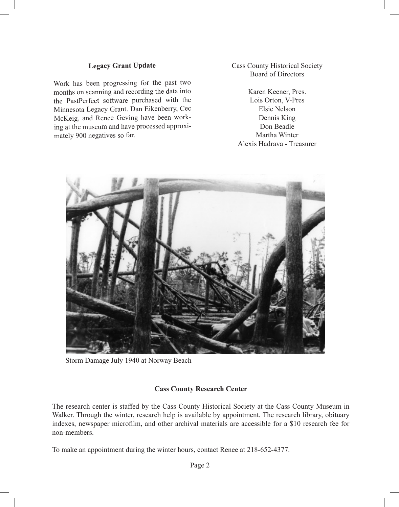#### **Legacy Grant Update**

Work has been progressing for the past two months on scanning and recording the data into the PastPerfect software purchased with the Minnesota Legacy Grant. Dan Eikenberry, Cec McKeig, and Renee Geving have been working at the museum and have processed approximately 900 negatives so far.

Cass County Historical Society Board of Directors

Karen Keener, Pres. Lois Orton, V-Pres Elsie Nelson Dennis King Don Beadle Martha Winter Alexis Hadrava - Treasurer



Storm Damage July 1940 at Norway Beach

#### **Cass County Research Center**

The research center is staffed by the Cass County Historical Society at the Cass County Museum in Walker. Through the winter, research help is available by appointment. The research library, obituary indexes, newspaper microfilm, and other archival materials are accessible for a \$10 research fee for non-members.

To make an appointment during the winter hours, contact Renee at 218-652-4377.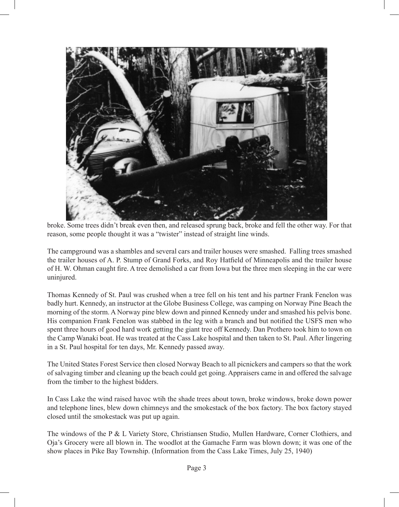

broke. Some trees didn't break even then, and released sprung back, broke and fell the other way. For that reason, some people thought it was a "twister" instead of straight line winds.

The campground was a shambles and several cars and trailer houses were smashed. Falling trees smashed the trailer houses of A. P. Stump of Grand Forks, and Roy Hatfield of Minneapolis and the trailer house of H. W. Ohman caught fire. A tree demolished a car from Iowa but the three men sleeping in the car were uninjured.

Thomas Kennedy of St. Paul was crushed when a tree fell on his tent and his partner Frank Fenelon was badly hurt. Kennedy, an instructor at the Globe Business College, was camping on Norway Pine Beach the morning of the storm. A Norway pine blew down and pinned Kennedy under and smashed his pelvis bone. His companion Frank Fenelon was stabbed in the leg with a branch and but notified the USFS men who spent three hours of good hard work getting the giant tree off Kennedy. Dan Prothero took him to town on the Camp Wanaki boat. He was treated at the Cass Lake hospital and then taken to St. Paul. After lingering in a St. Paul hospital for ten days, Mr. Kennedy passed away.

The United States Forest Service then closed Norway Beach to all picnickers and campers so that the work of salvaging timber and cleaning up the beach could get going. Appraisers came in and offered the salvage from the timber to the highest bidders.

In Cass Lake the wind raised havoc wtih the shade trees about town, broke windows, broke down power and telephone lines, blew down chimneys and the smokestack of the box factory. The box factory stayed closed until the smokestack was put up again.

The windows of the P & L Variety Store, Christiansen Studio, Mullen Hardware, Corner Clothiers, and Oja's Grocery were all blown in. The woodlot at the Gamache Farm was blown down; it was one of the show places in Pike Bay Township. (Information from the Cass Lake Times, July 25, 1940)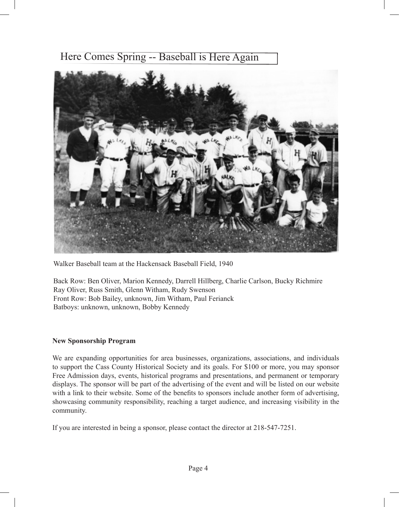### Here Comes Spring -- Baseball is Here Again



Walker Baseball team at the Hackensack Baseball Field, 1940

Back Row: Ben Oliver, Marion Kennedy, Darrell Hillberg, Charlie Carlson, Bucky Richmire Ray Oliver, Russ Smith, Glenn Witham, Rudy Swenson Front Row: Bob Bailey, unknown, Jim Witham, Paul Ferianck Batboys: unknown, unknown, Bobby Kennedy

#### **New Sponsorship Program**

We are expanding opportunities for area businesses, organizations, associations, and individuals to support the Cass County Historical Society and its goals. For \$100 or more, you may sponsor Free Admission days, events, historical programs and presentations, and permanent or temporary displays. The sponsor will be part of the advertising of the event and will be listed on our website with a link to their website. Some of the benefits to sponsors include another form of advertising, showcasing community responsibility, reaching a target audience, and increasing visibility in the community.

If you are interested in being a sponsor, please contact the director at 218-547-7251.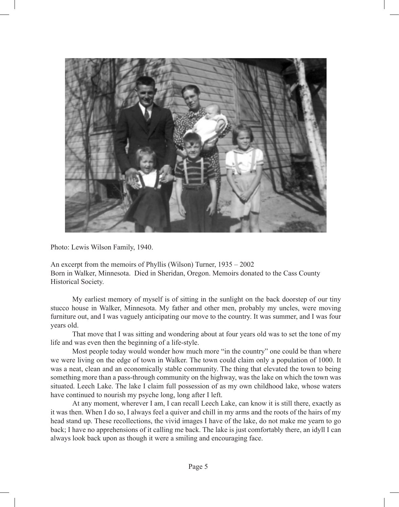

Photo: Lewis Wilson Family, 1940.

An excerpt from the memoirs of Phyllis (Wilson) Turner, 1935 – 2002 Born in Walker, Minnesota. Died in Sheridan, Oregon. Memoirs donated to the Cass County Historical Society.

My earliest memory of myself is of sitting in the sunlight on the back doorstep of our tiny stucco house in Walker, Minnesota. My father and other men, probably my uncles, were moving furniture out, and I was vaguely anticipating our move to the country. It was summer, and I was four years old.

That move that I was sitting and wondering about at four years old was to set the tone of my life and was even then the beginning of a life-style.

Most people today would wonder how much more "in the country" one could be than where we were living on the edge of town in Walker. The town could claim only a population of 1000. It was a neat, clean and an economically stable community. The thing that elevated the town to being something more than a pass-through community on the highway, was the lake on which the town was situated. Leech Lake. The lake I claim full possession of as my own childhood lake, whose waters have continued to nourish my psyche long, long after I left.

At any moment, wherever I am, I can recall Leech Lake, can know it is still there, exactly as it was then. When I do so, I always feel a quiver and chill in my arms and the roots of the hairs of my head stand up. These recollections, the vivid images I have of the lake, do not make me yearn to go back; I have no apprehensions of it calling me back. The lake is just comfortably there, an idyll I can always look back upon as though it were a smiling and encouraging face.